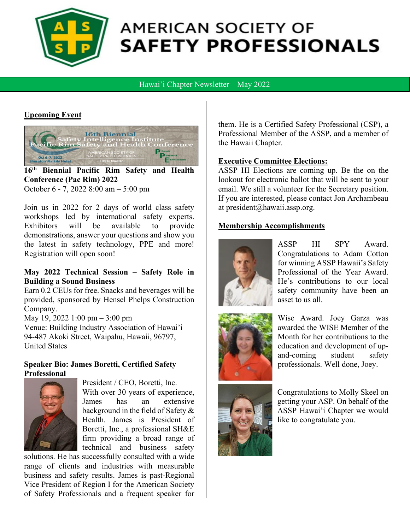

# **AMERICAN SOCIETY OF SAFETY PROFESSIONALS**

## Hawai'i Chapter Newsletter – May 2022

# **Upcoming Event**



**16th Biennial Pacific Rim Safety and Health Conference (Pac Rim) 2022**

October 6 - 7, 2022 8:00 am – 5:00 pm

Join us in 2022 for 2 days of world class safety workshops led by international safety experts.<br>Exhibitors will be available to provide Exhibitors will be available to provide demonstrations, answer your questions and show you the latest in safety technology, PPE and more! Registration will open soon!

# **May 2022 Technical Session – Safety Role in Building a Sound Business**

Earn 0.2 CEUs for free. Snacks and beverages will be provided, sponsored by Hensel Phelps Construction Company.

May 19, 2022 1:00 pm – 3:00 pm

Venue: Building Industry Association of Hawai'i 94-487 Akoki Street, Waipahu, Hawaii, 96797, United States

#### **Speaker Bio: James Boretti, Certified Safety Professional**



President / CEO, Boretti, Inc. With over 30 years of experience, James has an extensive background in the field of Safety & Health. James is President of Boretti, Inc., a professional SH&E firm providing a broad range of technical and business safety

solutions. He has successfully consulted with a wide range of clients and industries with measurable business and safety results. James is past-Regional Vice President of Region I for the American Society of Safety Professionals and a frequent speaker for

them. He is a Certified Safety Professional (CSP), a Professional Member of the ASSP, and a member of the Hawaii Chapter.

#### **Executive Committee Elections:**

ASSP HI Elections are coming up. Be the on the lookout for electronic ballot that will be sent to your email. We still a volunteer for the Secretary position. If you are interested, please contact Jon Archambeau at president@hawaii.assp.org.

### **Membership Accomplishments**



ASSP HI SPY Award. Congratulations to Adam Cotton for winning ASSP Hawaii's Safety Professional of the Year Award. He's contributions to our local safety community have been an asset to us all.



Wise Award. Joey Garza was awarded the WISE Member of the Month for her contributions to the education and development of upand-coming student safety professionals. Well done, Joey.



Congratulations to Molly Skeel on getting your ASP. On behalf of the ASSP Hawai'i Chapter we would like to congratulate you.